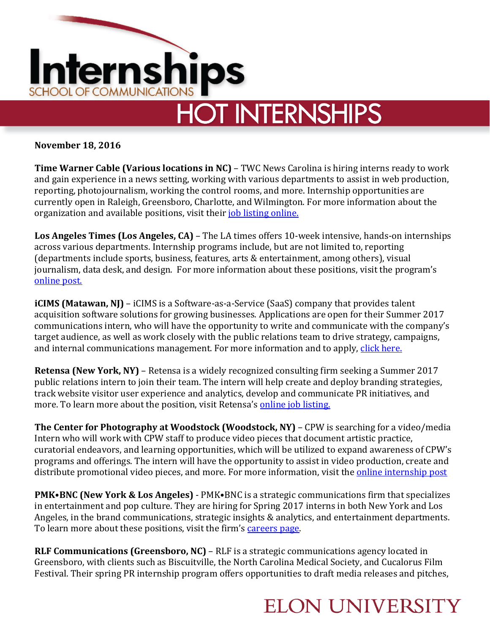

**November 18, 2016**

**Time Warner Cable (Various locations in NC)** – TWC News Carolina is hiring interns ready to work and gain experience in a news setting, working with various departments to assist in web production, reporting, photojournalism, working the control rooms, and more. Internship opportunities are currently open in Raleigh, Greensboro, Charlotte, and Wilmington. For more information about the organization and available positions, visit their [job listing online.](https://jobs.timewarnercable.com/job/greensboro/twc-news-greensboro-internship-spring-2017/4673/3238651)

**Los Angeles Times (Los Angeles, CA)** – The LA times offers 10-week intensive, hands-on internships across various departments. Internship programs include, but are not limited to, reporting (departments include sports, business, features, arts & entertainment, among others), visual journalism, data desk, and design. For more information about these positions, visit the program's [online post.](http://www.latimes.com/about/la-los-angeles-times-internship-program-htmlstory.html)

**iCIMS (Matawan, NJ)** – iCIMS is a Software-as-a-Service (SaaS) company that provides talent acquisition software solutions for growing businesses. Applications are open for their Summer 2017 communications intern, who will have the opportunity to write and communicate with the company's target audience, as well as work closely with the public relations team to drive strategy, campaigns, and internal communications management. For more information and to apply, [click here.](https://careers.icims.com/jobs/2570-Intern---Communications-(Summer-2017)?mode=job&iis=Indeed&iisn=Organic&utm_source=Indeed&utm_medium=Organic&utm_campaign=Indeed_Organi)

**Retensa (New York, NY)** – Retensa is a widely recognized consulting firm seeking a Summer 2017 public relations intern to join their team. The intern will help create and deploy branding strategies, track website visitor user experience and analytics, develop and communicate PR initiatives, and more. To learn more about the position, visit Retensa's [online job listing.](https://retensa.applicantstack.com/x/detail/a2rbt5in7ckb/aaac)

**The Center for Photography at Woodstock (Woodstock, NY)** – CPW is searching for a video/media Intern who will work with CPW staff to produce video pieces that document artistic practice, curatorial endeavors, and learning opportunities, which will be utilized to expand awareness of CPW's programs and offerings. The intern will have the opportunity to assist in video production, create and distribute promotional video pieces, and more. For more information, visit the [online internship post](http://www.cpw.org/learn/internships/video-media-internships/)

**PMK**•**BNC (New York & Los Angeles)** - PMK•BNC is a strategic communications firm that specializes in entertainment and pop culture. They are hiring for Spring 2017 interns in both New York and Los Angeles, in the brand communications, strategic insights & analytics, and entertainment departments. To learn more about these positions, visit the firm's [careers page.](http://www.pmkbnc.com/careers/)

**RLF Communications (Greensboro, NC)** – RLF is a strategic communications agency located in Greensboro, with clients such as Biscuitville, the North Carolina Medical Society, and Cucalorus Film Festival. Their spring PR internship program offers opportunities to draft media releases and pitches,

## **ELON UNIVERSITY**